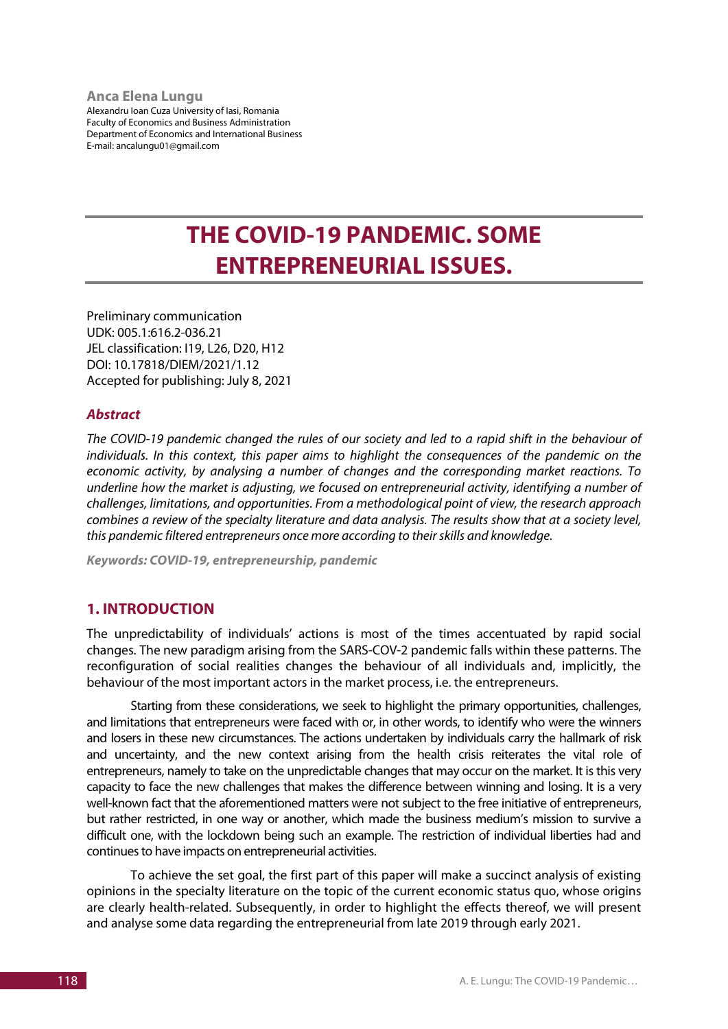#### **Anca Elena Lungu**

Alexandru Ioan Cuza University of Iasi, Romania Faculty of Economics and Business Administration Department of Economics and International Business E-mail: ancalungu01@gmail.com

# **THE COVID-19 PANDEMIC. SOME ENTREPRENEURIAL ISSUES.**

Preliminary communication UDK: 005.1:616.2-036.21 JEL classification: I19, L26, D20, H12 DOI: 10.17818/DIEM/2021/1.12 Accepted for publishing: July 8, 2021

#### *Abstract*

*The COVID-19 pandemic changed the rules of our society and led to a rapid shift in the behaviour of individuals. In this context, this paper aims to highlight the consequences of the pandemic on the economic activity, by analysing a number of changes and the corresponding market reactions. To underline how the market is adjusting, we focused on entrepreneurial activity, identifying a number of challenges, limitations, and opportunities. From a methodological point of view, the research approach combines a review of the specialty literature and data analysis. The results show that at a society level, this pandemic filtered entrepreneurs once more according to their skills and knowledge.*

*Keywords: COVID-19, entrepreneurship, pandemic*

# **1. INTRODUCTION**

The unpredictability of individuals' actions is most of the times accentuated by rapid social changes. The new paradigm arising from the SARS-COV-2 pandemic falls within these patterns. The reconfiguration of social realities changes the behaviour of all individuals and, implicitly, the behaviour of the most important actors in the market process, i.e. the entrepreneurs.

Starting from these considerations, we seek to highlight the primary opportunities, challenges, and limitations that entrepreneurs were faced with or, in other words, to identify who were the winners and losers in these new circumstances. The actions undertaken by individuals carry the hallmark of risk and uncertainty, and the new context arising from the health crisis reiterates the vital role of entrepreneurs, namely to take on the unpredictable changes that may occur on the market. It is this very capacity to face the new challenges that makes the difference between winning and losing. It is a very well-known fact that the aforementioned matters were not subject to the free initiative of entrepreneurs, but rather restricted, in one way or another, which made the business medium's mission to survive a difficult one, with the lockdown being such an example. The restriction of individual liberties had and continues to have impacts on entrepreneurial activities.

To achieve the set goal, the first part of this paper will make a succinct analysis of existing opinions in the specialty literature on the topic of the current economic status quo, whose origins are clearly health-related. Subsequently, in order to highlight the effects thereof, we will present and analyse some data regarding the entrepreneurial from late 2019 through early 2021.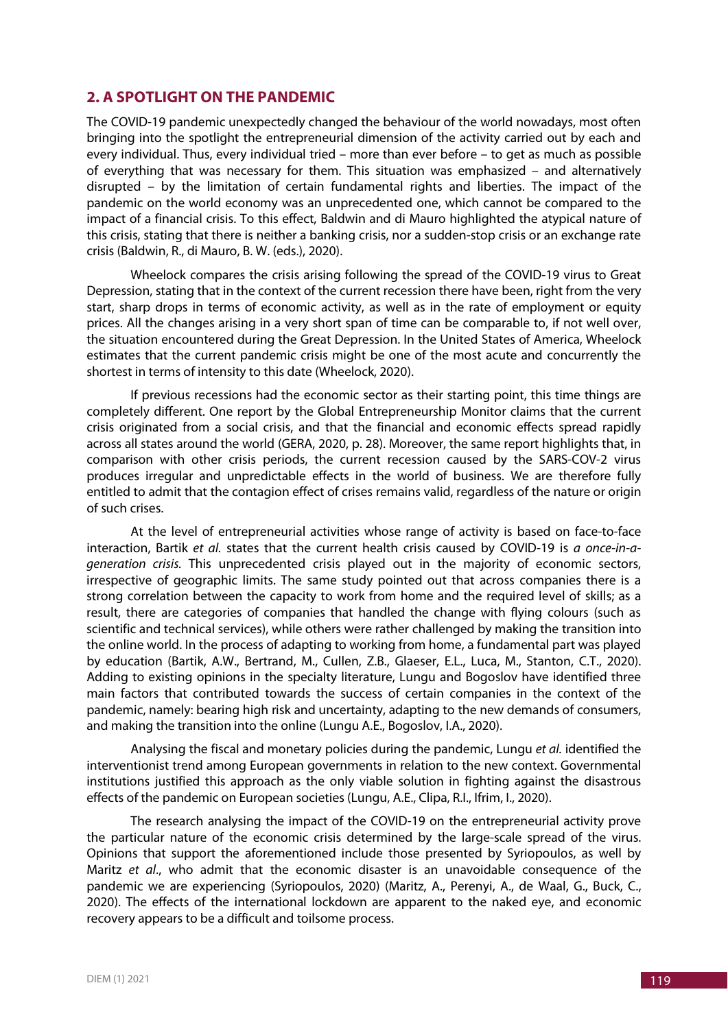## **2. A SPOTLIGHT ON THE PANDEMIC**

The COVID-19 pandemic unexpectedly changed the behaviour of the world nowadays, most often bringing into the spotlight the entrepreneurial dimension of the activity carried out by each and every individual. Thus, every individual tried – more than ever before – to get as much as possible of everything that was necessary for them. This situation was emphasized – and alternatively disrupted – by the limitation of certain fundamental rights and liberties. The impact of the pandemic on the world economy was an unprecedented one, which cannot be compared to the impact of a financial crisis. To this effect, Baldwin and di Mauro highlighted the atypical nature of this crisis, stating that there is neither a banking crisis, nor a sudden-stop crisis or an exchange rate crisis (Baldwin, R., di Mauro, B. W. (eds.), 2020).

Wheelock compares the crisis arising following the spread of the COVID-19 virus to Great Depression, stating that in the context of the current recession there have been, right from the very start, sharp drops in terms of economic activity, as well as in the rate of employment or equity prices. All the changes arising in a very short span of time can be comparable to, if not well over, the situation encountered during the Great Depression. In the United States of America, Wheelock estimates that the current pandemic crisis might be one of the most acute and concurrently the shortest in terms of intensity to this date (Wheelock, 2020).

If previous recessions had the economic sector as their starting point, this time things are completely different. One report by the Global Entrepreneurship Monitor claims that the current crisis originated from a social crisis, and that the financial and economic effects spread rapidly across all states around the world (GERA, 2020, p. 28). Moreover, the same report highlights that, in comparison with other crisis periods, the current recession caused by the SARS-COV-2 virus produces irregular and unpredictable effects in the world of business. We are therefore fully entitled to admit that the contagion effect of crises remains valid, regardless of the nature or origin of such crises.

At the level of entrepreneurial activities whose range of activity is based on face-to-face interaction, Bartik *et al.* states that the current health crisis caused by COVID-19 is *a once-in-ageneration crisis.* This unprecedented crisis played out in the majority of economic sectors, irrespective of geographic limits. The same study pointed out that across companies there is a strong correlation between the capacity to work from home and the required level of skills; as a result, there are categories of companies that handled the change with flying colours (such as scientific and technical services), while others were rather challenged by making the transition into the online world. In the process of adapting to working from home, a fundamental part was played by education (Bartik, A.W., Bertrand, M., Cullen, Z.B., Glaeser, E.L., Luca, M., Stanton, C.T., 2020). Adding to existing opinions in the specialty literature, Lungu and Bogoslov have identified three main factors that contributed towards the success of certain companies in the context of the pandemic, namely: bearing high risk and uncertainty, adapting to the new demands of consumers, and making the transition into the online (Lungu A.E., Bogoslov, I.A., 2020).

Analysing the fiscal and monetary policies during the pandemic, Lungu *et al.* identified the interventionist trend among European governments in relation to the new context. Governmental institutions justified this approach as the only viable solution in fighting against the disastrous effects of the pandemic on European societies (Lungu, A.E., Clipa, R.I., Ifrim, I., 2020).

The research analysing the impact of the COVID-19 on the entrepreneurial activity prove the particular nature of the economic crisis determined by the large-scale spread of the virus. Opinions that support the aforementioned include those presented by Syriopoulos, as well by Maritz *et al*., who admit that the economic disaster is an unavoidable consequence of the pandemic we are experiencing (Syriopoulos, 2020) (Maritz, A., Perenyi, A., de Waal, G., Buck, C., 2020). The effects of the international lockdown are apparent to the naked eye, and economic recovery appears to be a difficult and toilsome process.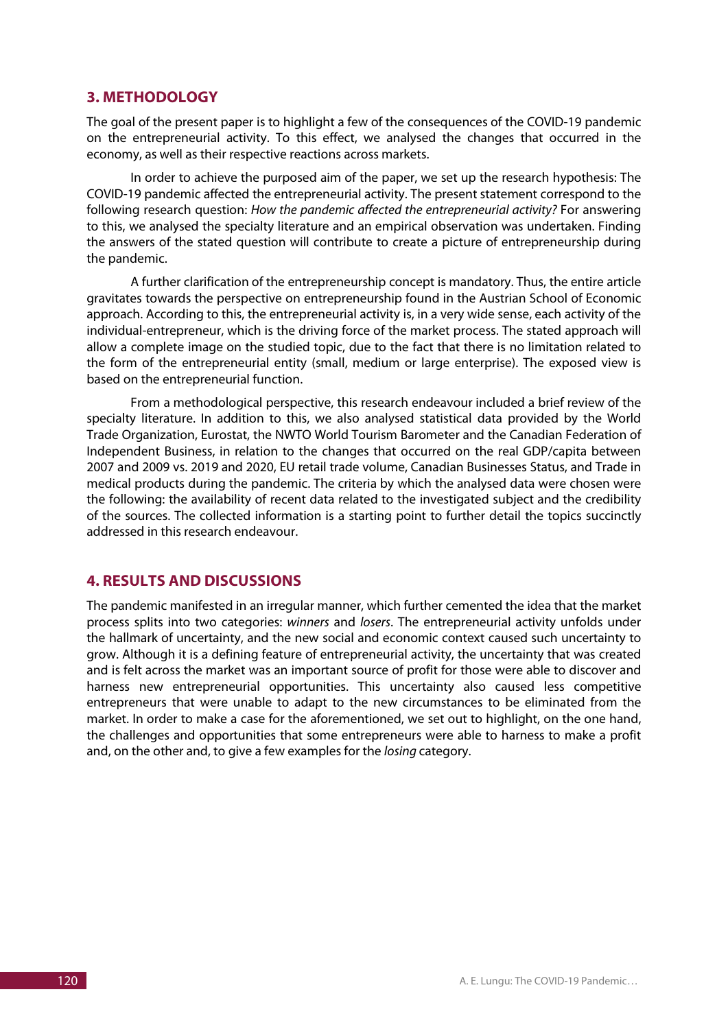## **3. METHODOLOGY**

The goal of the present paper is to highlight a few of the consequences of the COVID-19 pandemic on the entrepreneurial activity. To this effect, we analysed the changes that occurred in the economy, as well as their respective reactions across markets.

In order to achieve the purposed aim of the paper, we set up the research hypothesis: The COVID-19 pandemic affected the entrepreneurial activity. The present statement correspond to the following research question: *How the pandemic affected the entrepreneurial activity?* For answering to this, we analysed the specialty literature and an empirical observation was undertaken. Finding the answers of the stated question will contribute to create a picture of entrepreneurship during the pandemic.

A further clarification of the entrepreneurship concept is mandatory. Thus, the entire article gravitates towards the perspective on entrepreneurship found in the Austrian School of Economic approach. According to this, the entrepreneurial activity is, in a very wide sense, each activity of the individual-entrepreneur, which is the driving force of the market process. The stated approach will allow a complete image on the studied topic, due to the fact that there is no limitation related to the form of the entrepreneurial entity (small, medium or large enterprise). The exposed view is based on the entrepreneurial function.

From a methodological perspective, this research endeavour included a brief review of the specialty literature. In addition to this, we also analysed statistical data provided by the World Trade Organization, Eurostat, the NWTO World Tourism Barometer and the Canadian Federation of Independent Business, in relation to the changes that occurred on the real GDP/capita between 2007 and 2009 vs. 2019 and 2020, EU retail trade volume, Canadian Businesses Status, and Trade in medical products during the pandemic. The criteria by which the analysed data were chosen were the following: the availability of recent data related to the investigated subject and the credibility of the sources. The collected information is a starting point to further detail the topics succinctly addressed in this research endeavour.

### **4. RESULTS AND DISCUSSIONS**

The pandemic manifested in an irregular manner, which further cemented the idea that the market process splits into two categories: *winners* and *losers*. The entrepreneurial activity unfolds under the hallmark of uncertainty, and the new social and economic context caused such uncertainty to grow. Although it is a defining feature of entrepreneurial activity, the uncertainty that was created and is felt across the market was an important source of profit for those were able to discover and harness new entrepreneurial opportunities. This uncertainty also caused less competitive entrepreneurs that were unable to adapt to the new circumstances to be eliminated from the market. In order to make a case for the aforementioned, we set out to highlight, on the one hand, the challenges and opportunities that some entrepreneurs were able to harness to make a profit and, on the other and, to give a few examples for the *losing* category.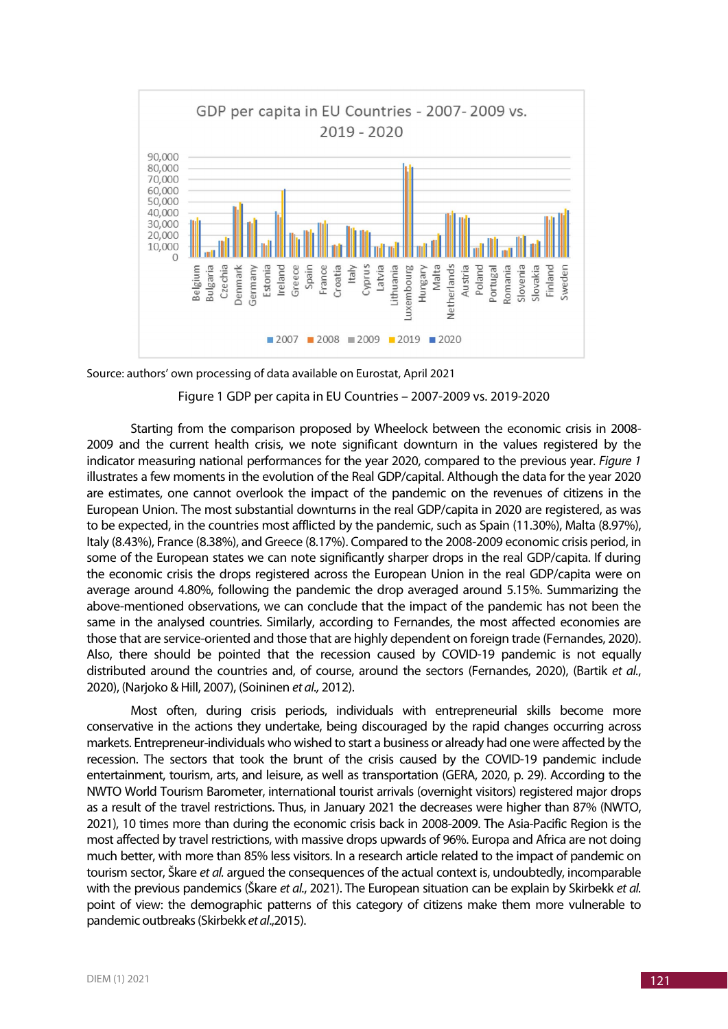

Source: authors' own processing of data available on Eurostat, April 2021

#### Figure 1 GDP per capita in EU Countries – 2007-2009 vs. 2019-2020

Starting from the comparison proposed by Wheelock between the economic crisis in 2008- 2009 and the current health crisis, we note significant downturn in the values registered by the indicator measuring national performances for the year 2020, compared to the previous year. *Figure 1* illustrates a few moments in the evolution of the Real GDP/capital. Although the data for the year 2020 are estimates, one cannot overlook the impact of the pandemic on the revenues of citizens in the European Union. The most substantial downturns in the real GDP/capita in 2020 are registered, as was to be expected, in the countries most afflicted by the pandemic, such as Spain (11.30%), Malta (8.97%), Italy (8.43%), France (8.38%), and Greece (8.17%). Compared to the 2008-2009 economic crisis period, in some of the European states we can note significantly sharper drops in the real GDP/capita. If during the economic crisis the drops registered across the European Union in the real GDP/capita were on average around 4.80%, following the pandemic the drop averaged around 5.15%. Summarizing the above-mentioned observations, we can conclude that the impact of the pandemic has not been the same in the analysed countries. Similarly, according to Fernandes, the most affected economies are those that are service-oriented and those that are highly dependent on foreign trade (Fernandes, 2020). Also, there should be pointed that the recession caused by COVID-19 pandemic is not equally distributed around the countries and, of course, around the sectors (Fernandes, 2020), (Bartik *et al.*, 2020), (Narjoko & Hill, 2007), (Soininen *et al.,* 2012).

Most often, during crisis periods, individuals with entrepreneurial skills become more conservative in the actions they undertake, being discouraged by the rapid changes occurring across markets. Entrepreneur-individuals who wished to start a business or already had one were affected by the recession. The sectors that took the brunt of the crisis caused by the COVID-19 pandemic include entertainment, tourism, arts, and leisure, as well as transportation (GERA, 2020, p. 29). According to the NWTO World Tourism Barometer, international tourist arrivals (overnight visitors) registered major drops as a result of the travel restrictions. Thus, in January 2021 the decreases were higher than 87% (NWTO, 2021), 10 times more than during the economic crisis back in 2008-2009. The Asia-Pacific Region is the most affected by travel restrictions, with massive drops upwards of 96%. Europa and Africa are not doing much better, with more than 85% less visitors. In a research article related to the impact of pandemic on tourism sector, Škare *et al.* argued the consequences of the actual context is, undoubtedly, incomparable with the previous pandemics (Škare *et al.*, 2021). The European situation can be explain by Skirbekk *et al.* point of view: the demographic patterns of this category of citizens make them more vulnerable to pandemic outbreaks (Skirbekk *et al*.,2015).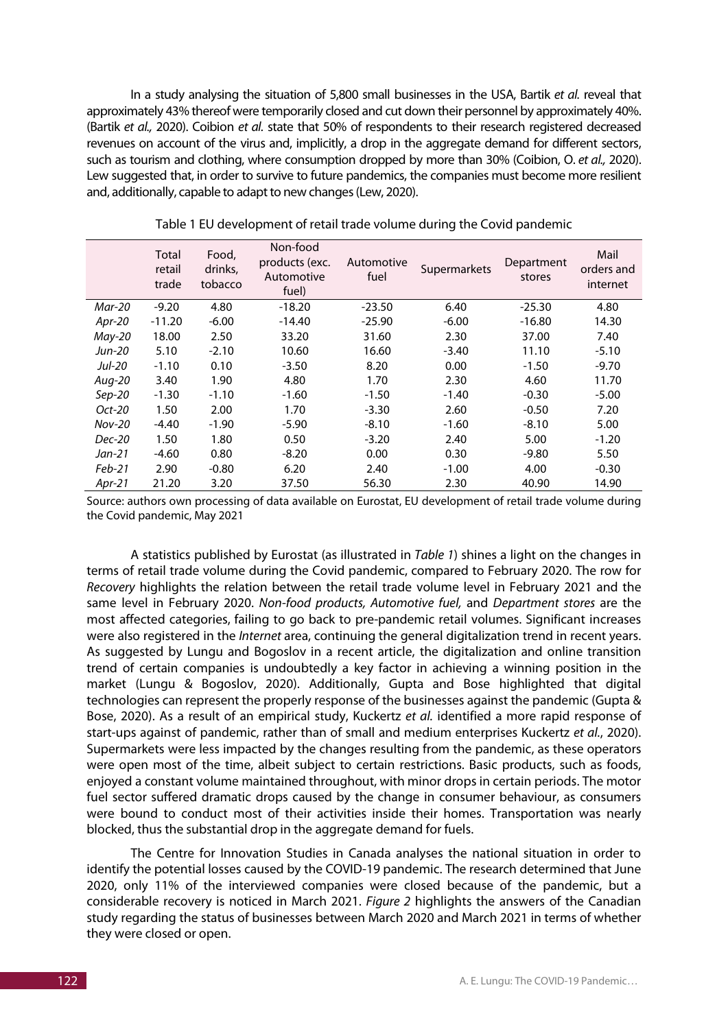In a study analysing the situation of 5,800 small businesses in the USA, Bartik *et al.* reveal that approximately 43% thereof were temporarily closed and cut down their personnel by approximately 40%. (Bartik *et al.,* 2020). Coibion *et al.* state that 50% of respondents to their research registered decreased revenues on account of the virus and, implicitly, a drop in the aggregate demand for different sectors, such as tourism and clothing, where consumption dropped by more than 30% (Coibion, O. *et al.,* 2020). Lew suggested that, in order to survive to future pandemics, the companies must become more resilient and, additionally, capable to adapt to new changes (Lew, 2020).

|               | Total<br>retail<br>trade | Food,<br>drinks,<br>tobacco | Non-food<br>products (exc.<br>Automotive<br>fuel) | Automotive<br>fuel | Supermarkets | Department<br>stores | Mail<br>orders and<br>internet |
|---------------|--------------------------|-----------------------------|---------------------------------------------------|--------------------|--------------|----------------------|--------------------------------|
| Mar-20        | $-9.20$                  | 4.80                        | $-18.20$                                          | $-23.50$           | 6.40         | $-25.30$             | 4.80                           |
| Apr-20        | $-11.20$                 | $-6.00$                     | $-14.40$                                          | $-25.90$           | $-6.00$      | $-16.80$             | 14.30                          |
| $May-20$      | 18.00                    | 2.50                        | 33.20                                             | 31.60              | 2.30         | 37.00                | 7.40                           |
| Jun-20        | 5.10                     | $-2.10$                     | 10.60                                             | 16.60              | $-3.40$      | 11.10                | $-5.10$                        |
| Jul-20        | $-1.10$                  | 0.10                        | $-3.50$                                           | 8.20               | 0.00         | $-1.50$              | $-9.70$                        |
| Aug-20        | 3.40                     | 1.90                        | 4.80                                              | 1.70               | 2.30         | 4.60                 | 11.70                          |
| $Sep-20$      | $-1.30$                  | $-1.10$                     | $-1.60$                                           | $-1.50$            | $-1.40$      | $-0.30$              | $-5.00$                        |
| Oct-20        | 1.50                     | 2.00                        | 1.70                                              | $-3.30$            | 2.60         | $-0.50$              | 7.20                           |
| <b>Nov-20</b> | $-4.40$                  | $-1.90$                     | $-5.90$                                           | $-8.10$            | $-1.60$      | $-8.10$              | 5.00                           |
| <b>Dec-20</b> | 1.50                     | 1.80                        | 0.50                                              | $-3.20$            | 2.40         | 5.00                 | $-1.20$                        |
| Jan-21        | $-4.60$                  | 0.80                        | $-8.20$                                           | 0.00               | 0.30         | $-9.80$              | 5.50                           |
| Feb-21        | 2.90                     | $-0.80$                     | 6.20                                              | 2.40               | $-1.00$      | 4.00                 | $-0.30$                        |
| $Apr-21$      | 21.20                    | 3.20                        | 37.50                                             | 56.30              | 2.30         | 40.90                | 14.90                          |

Table 1 EU development of retail trade volume during the Covid pandemic

Source: authors own processing of data available on Eurostat, EU development of retail trade volume during the Covid pandemic, May 2021

A statistics published by Eurostat (as illustrated in *Table 1*) shines a light on the changes in terms of retail trade volume during the Covid pandemic, compared to February 2020. The row for *Recovery* highlights the relation between the retail trade volume level in February 2021 and the same level in February 2020. *Non-food products, Automotive fuel,* and *Department stores* are the most affected categories, failing to go back to pre-pandemic retail volumes. Significant increases were also registered in the *Internet* area, continuing the general digitalization trend in recent years. As suggested by Lungu and Bogoslov in a recent article, the digitalization and online transition trend of certain companies is undoubtedly a key factor in achieving a winning position in the market (Lungu & Bogoslov, 2020). Additionally, Gupta and Bose highlighted that digital technologies can represent the properly response of the businesses against the pandemic (Gupta & Bose, 2020). As a result of an empirical study, Kuckertz *et al.* identified a more rapid response of start-ups against of pandemic, rather than of small and medium enterprises Kuckertz *et al.*, 2020). Supermarkets were less impacted by the changes resulting from the pandemic, as these operators were open most of the time, albeit subject to certain restrictions. Basic products, such as foods, enjoyed a constant volume maintained throughout, with minor drops in certain periods. The motor fuel sector suffered dramatic drops caused by the change in consumer behaviour, as consumers were bound to conduct most of their activities inside their homes. Transportation was nearly blocked, thus the substantial drop in the aggregate demand for fuels.

The Centre for Innovation Studies in Canada analyses the national situation in order to identify the potential losses caused by the COVID-19 pandemic. The research determined that June 2020, only 11% of the interviewed companies were closed because of the pandemic, but a considerable recovery is noticed in March 2021. *Figure 2* highlights the answers of the Canadian study regarding the status of businesses between March 2020 and March 2021 in terms of whether they were closed or open.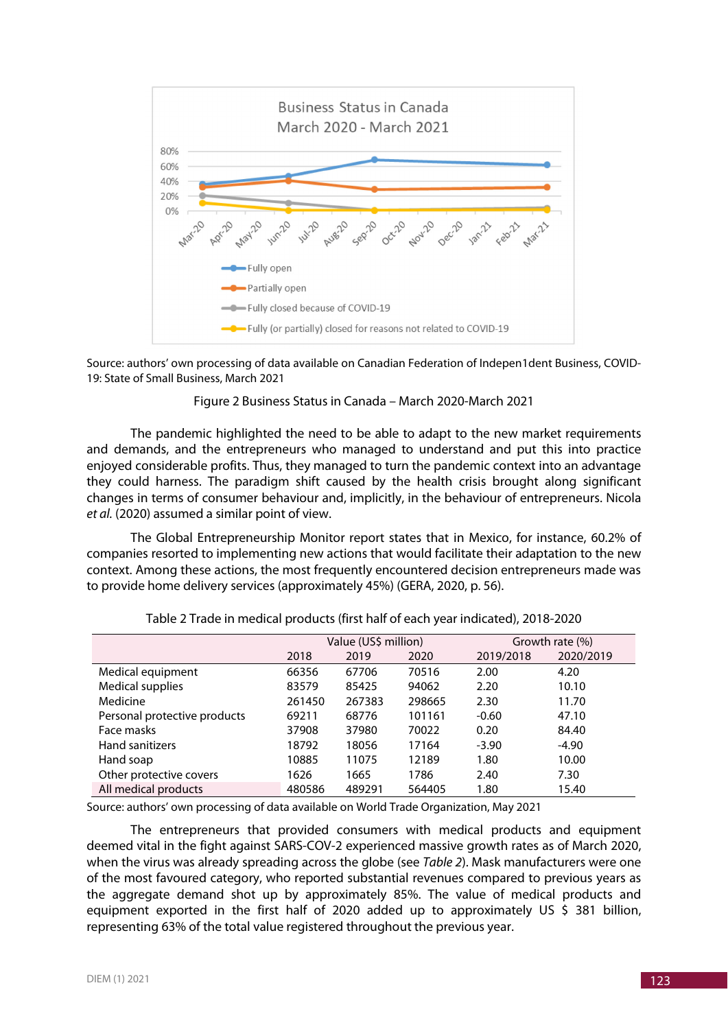

Source: authors' own processing of data available on Canadian Federation of Indepen1dent Business, COVID-19: State of Small Business, March 2021

#### Figure 2 Business Status in Canada – March 2020-March 2021

The pandemic highlighted the need to be able to adapt to the new market requirements and demands, and the entrepreneurs who managed to understand and put this into practice enjoyed considerable profits. Thus, they managed to turn the pandemic context into an advantage they could harness. The paradigm shift caused by the health crisis brought along significant changes in terms of consumer behaviour and, implicitly, in the behaviour of entrepreneurs. Nicola *et al.* (2020) assumed a similar point of view.

The Global Entrepreneurship Monitor report states that in Mexico, for instance, 60.2% of companies resorted to implementing new actions that would facilitate their adaptation to the new context. Among these actions, the most frequently encountered decision entrepreneurs made was to provide home delivery services (approximately 45%) (GERA, 2020, p. 56).

|                              | Value (US\$ million) |        |        |           | Growth rate (%) |
|------------------------------|----------------------|--------|--------|-----------|-----------------|
|                              | 2018                 | 2019   | 2020   | 2019/2018 | 2020/2019       |
| Medical equipment            | 66356                | 67706  | 70516  | 2.00      | 4.20            |
| <b>Medical supplies</b>      | 83579                | 85425  | 94062  | 2.20      | 10.10           |
| Medicine                     | 261450               | 267383 | 298665 | 2.30      | 11.70           |
| Personal protective products | 69211                | 68776  | 101161 | $-0.60$   | 47.10           |
| Face masks                   | 37908                | 37980  | 70022  | 0.20      | 84.40           |
| <b>Hand sanitizers</b>       | 18792                | 18056  | 17164  | $-3.90$   | -4.90           |
| Hand soap                    | 10885                | 11075  | 12189  | 1.80      | 10.00           |
| Other protective covers      | 1626                 | 1665   | 1786   | 2.40      | 7.30            |
| All medical products         | 480586               | 489291 | 564405 | 1.80      | 15.40           |

Table 2 Trade in medical products (first half of each year indicated), 2018-2020

Source: authors' own processing of data available on World Trade Organization, May 2021

The entrepreneurs that provided consumers with medical products and equipment deemed vital in the fight against SARS-COV-2 experienced massive growth rates as of March 2020, when the virus was already spreading across the globe (see *Table 2*). Mask manufacturers were one of the most favoured category, who reported substantial revenues compared to previous years as the aggregate demand shot up by approximately 85%. The value of medical products and equipment exported in the first half of 2020 added up to approximately US  $\frac{1}{5}$  381 billion, representing 63% of the total value registered throughout the previous year.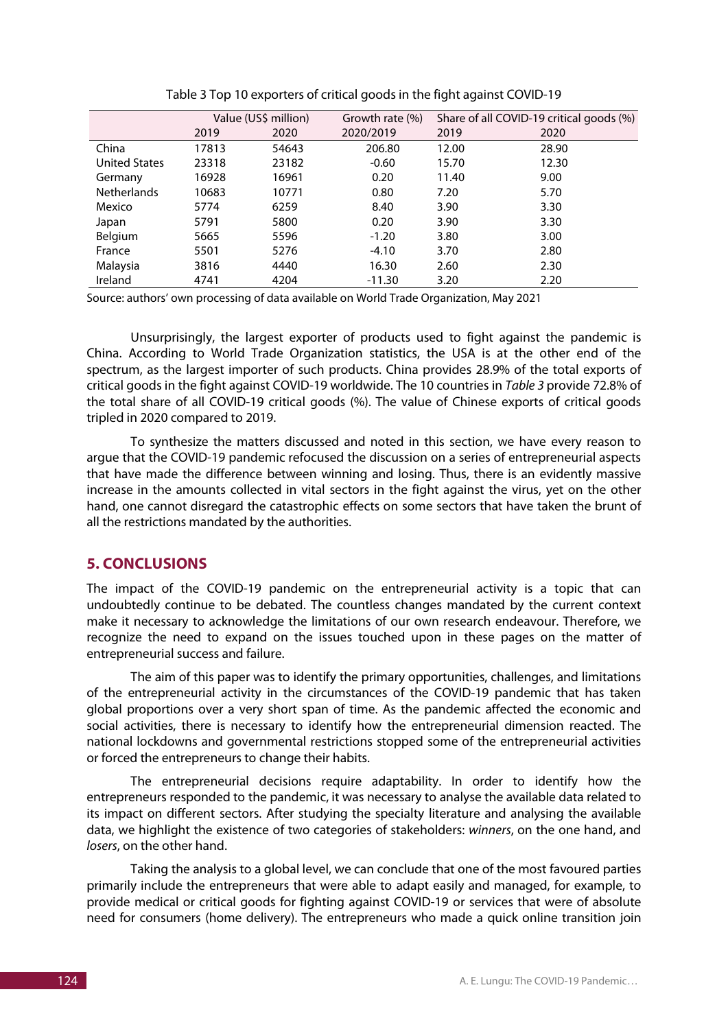|                      | Value (US\$ million) |       | Growth rate (%) | Share of all COVID-19 critical goods (%) |       |  |
|----------------------|----------------------|-------|-----------------|------------------------------------------|-------|--|
|                      | 2019                 | 2020  | 2020/2019       | 2019                                     | 2020  |  |
| China                | 17813                | 54643 | 206.80          | 12.00                                    | 28.90 |  |
| <b>United States</b> | 23318                | 23182 | $-0.60$         | 15.70                                    | 12.30 |  |
| Germany              | 16928                | 16961 | 0.20            | 11.40                                    | 9.00  |  |
| <b>Netherlands</b>   | 10683                | 10771 | 0.80            | 7.20                                     | 5.70  |  |
| Mexico               | 5774                 | 6259  | 8.40            | 3.90                                     | 3.30  |  |
| Japan                | 5791                 | 5800  | 0.20            | 3.90                                     | 3.30  |  |
| Belgium              | 5665                 | 5596  | $-1.20$         | 3.80                                     | 3.00  |  |
| France               | 5501                 | 5276  | $-4.10$         | 3.70                                     | 2.80  |  |
| Malaysia             | 3816                 | 4440  | 16.30           | 2.60                                     | 2.30  |  |
| Ireland              | 4741                 | 4204  | $-11.30$        | 3.20                                     | 2.20  |  |

Table 3 Top 10 exporters of critical goods in the fight against COVID-19

Source: authors' own processing of data available on World Trade Organization, May 2021

Unsurprisingly, the largest exporter of products used to fight against the pandemic is China. According to World Trade Organization statistics, the USA is at the other end of the spectrum, as the largest importer of such products. China provides 28.9% of the total exports of critical goods in the fight against COVID-19 worldwide. The 10 countries in *Table 3* provide 72.8% of the total share of all COVID-19 critical goods (%). The value of Chinese exports of critical goods tripled in 2020 compared to 2019.

To synthesize the matters discussed and noted in this section, we have every reason to argue that the COVID-19 pandemic refocused the discussion on a series of entrepreneurial aspects that have made the difference between winning and losing. Thus, there is an evidently massive increase in the amounts collected in vital sectors in the fight against the virus, yet on the other hand, one cannot disregard the catastrophic effects on some sectors that have taken the brunt of all the restrictions mandated by the authorities.

# **5. CONCLUSIONS**

The impact of the COVID-19 pandemic on the entrepreneurial activity is a topic that can undoubtedly continue to be debated. The countless changes mandated by the current context make it necessary to acknowledge the limitations of our own research endeavour. Therefore, we recognize the need to expand on the issues touched upon in these pages on the matter of entrepreneurial success and failure.

The aim of this paper was to identify the primary opportunities, challenges, and limitations of the entrepreneurial activity in the circumstances of the COVID-19 pandemic that has taken global proportions over a very short span of time. As the pandemic affected the economic and social activities, there is necessary to identify how the entrepreneurial dimension reacted. The national lockdowns and governmental restrictions stopped some of the entrepreneurial activities or forced the entrepreneurs to change their habits.

The entrepreneurial decisions require adaptability. In order to identify how the entrepreneurs responded to the pandemic, it was necessary to analyse the available data related to its impact on different sectors. After studying the specialty literature and analysing the available data, we highlight the existence of two categories of stakeholders: *winners*, on the one hand, and *losers*, on the other hand.

Taking the analysis to a global level, we can conclude that one of the most favoured parties primarily include the entrepreneurs that were able to adapt easily and managed, for example, to provide medical or critical goods for fighting against COVID-19 or services that were of absolute need for consumers (home delivery). The entrepreneurs who made a quick online transition join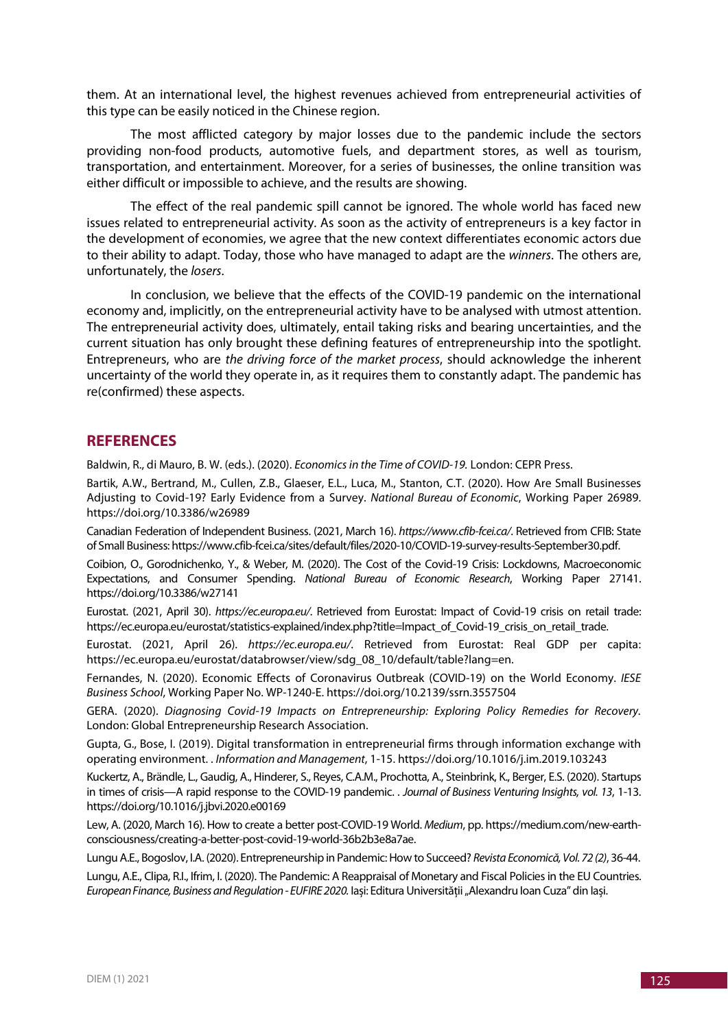them. At an international level, the highest revenues achieved from entrepreneurial activities of this type can be easily noticed in the Chinese region.

The most afflicted category by major losses due to the pandemic include the sectors providing non-food products, automotive fuels, and department stores, as well as tourism, transportation, and entertainment. Moreover, for a series of businesses, the online transition was either difficult or impossible to achieve, and the results are showing.

The effect of the real pandemic spill cannot be ignored. The whole world has faced new issues related to entrepreneurial activity. As soon as the activity of entrepreneurs is a key factor in the development of economies, we agree that the new context differentiates economic actors due to their ability to adapt. Today, those who have managed to adapt are the *winners*. The others are, unfortunately, the *losers*.

In conclusion, we believe that the effects of the COVID-19 pandemic on the international economy and, implicitly, on the entrepreneurial activity have to be analysed with utmost attention. The entrepreneurial activity does, ultimately, entail taking risks and bearing uncertainties, and the current situation has only brought these defining features of entrepreneurship into the spotlight. Entrepreneurs, who are *the driving force of the market process*, should acknowledge the inherent uncertainty of the world they operate in, as it requires them to constantly adapt. The pandemic has re(confirmed) these aspects.

#### **REFERENCES**

Baldwin, R., di Mauro, B. W. (eds.). (2020). *Economics in the Time of COVID-19.* London: CEPR Press.

Bartik, A.W., Bertrand, M., Cullen, Z.B., Glaeser, E.L., Luca, M., Stanton, C.T. (2020). How Are Small Businesses Adjusting to Covid-19? Early Evidence from a Survey. *National Bureau of Economic*, Working Paper 26989. https://doi.org/10.3386/w26989

Canadian Federation of Independent Business. (2021, March 16). *https://www.cfib-fcei.ca/*. Retrieved from CFIB: State of Small Business: https://www.cfib-fcei.ca/sites/default/files/2020-10/COVID-19-survey-results-September30.pdf.

Coibion, O., Gorodnichenko, Y., & Weber, M. (2020). The Cost of the Covid-19 Crisis: Lockdowns, Macroeconomic Expectations, and Consumer Spending. *National Bureau of Economic Research*, Working Paper 27141. https://doi.org/10.3386/w27141

Eurostat. (2021, April 30). *https://ec.europa.eu/*. Retrieved from Eurostat: Impact of Covid-19 crisis on retail trade: https://ec.europa.eu/eurostat/statistics-explained/index.php?title=Impact\_of\_Covid-19\_crisis\_on\_retail\_trade.

Eurostat. (2021, April 26). *https://ec.europa.eu/*. Retrieved from Eurostat: Real GDP per capita: https://ec.europa.eu/eurostat/databrowser/view/sdg\_08\_10/default/table?lang=en.

Fernandes, N. (2020). Economic Effects of Coronavirus Outbreak (COVID-19) on the World Economy. *IESE Business School*, Working Paper No. WP-1240-E. https://doi.org/10.2139/ssrn.3557504

GERA. (2020). *Diagnosing Covid-19 Impacts on Entrepreneurship: Exploring Policy Remedies for Recovery.* London: Global Entrepreneurship Research Association.

Gupta, G., Bose, I. (2019). Digital transformation in entrepreneurial firms through information exchange with operating environment. . *Information and Management*, 1-15. https://doi.org/10.1016/j.im.2019.103243

Kuckertz, A., Brändle, L., Gaudig, A., Hinderer, S., Reyes, C.A.M., Prochotta, A., Steinbrink, K., Berger, E.S. (2020). Startups in times of crisis—A rapid response to the COVID-19 pandemic. . *Journal of Business Venturing Insights, vol. 13*, 1-13. https://doi.org/10.1016/j.jbvi.2020.e00169

Lew, A. (2020, March 16). How to create a better post-COVID-19 World. *Medium*, pp. https://medium.com/new-earthconsciousness/creating-a-better-post-covid-19-world-36b2b3e8a7ae.

Lungu A.E., Bogoslov, I.A. (2020). Entrepreneurship in Pandemic: How to Succeed? *Revista Economică, Vol. 72 (2)*, 36-44.

Lungu, A.E., Clipa, R.I., Ifrim, I. (2020). The Pandemic: A Reappraisal of Monetary and Fiscal Policies in the EU Countries. *European Finance, Business and Regulation - EUFIRE 2020.* Iași: Editura Universităţii "Alexandru Ioan Cuza" din Iași.